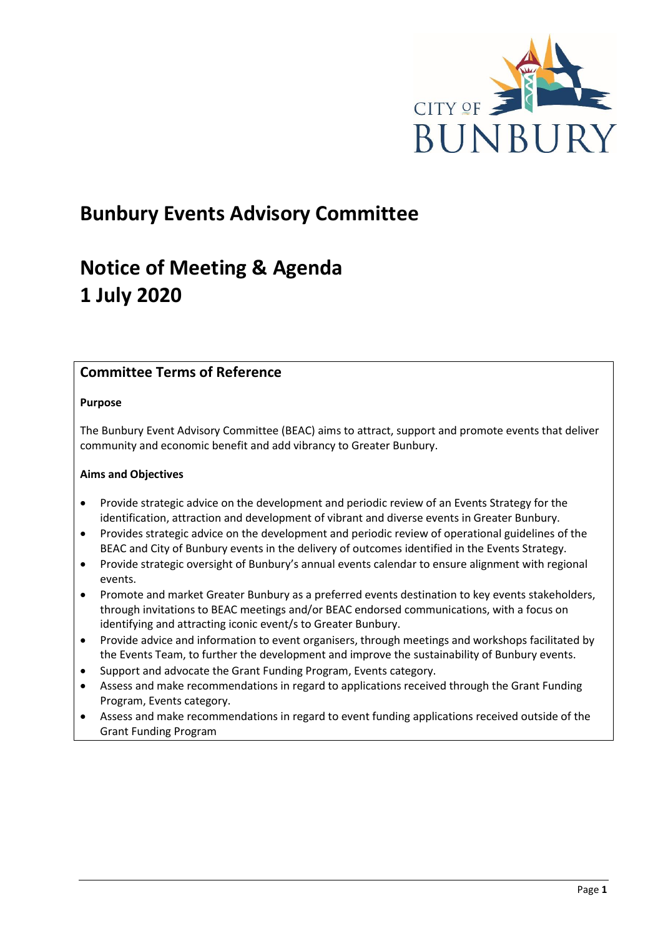

# **Bunbury Events Advisory Committee**

# **Notice of Meeting & Agenda 1 July 2020**

# **Committee Terms of Reference**

# **Purpose**

The Bunbury Event Advisory Committee (BEAC) aims to attract, support and promote events that deliver community and economic benefit and add vibrancy to Greater Bunbury.

# **Aims and Objectives**

- Provide strategic advice on the development and periodic review of an Events Strategy for the identification, attraction and development of vibrant and diverse events in Greater Bunbury.
- Provides strategic advice on the development and periodic review of operational guidelines of the BEAC and City of Bunbury events in the delivery of outcomes identified in the Events Strategy.
- Provide strategic oversight of Bunbury's annual events calendar to ensure alignment with regional events.
- Promote and market Greater Bunbury as a preferred events destination to key events stakeholders, through invitations to BEAC meetings and/or BEAC endorsed communications, with a focus on identifying and attracting iconic event/s to Greater Bunbury.
- Provide advice and information to event organisers, through meetings and workshops facilitated by the Events Team, to further the development and improve the sustainability of Bunbury events.
- Support and advocate the Grant Funding Program, Events category.
- Assess and make recommendations in regard to applications received through the Grant Funding Program, Events category.
- Assess and make recommendations in regard to event funding applications received outside of the Grant Funding Program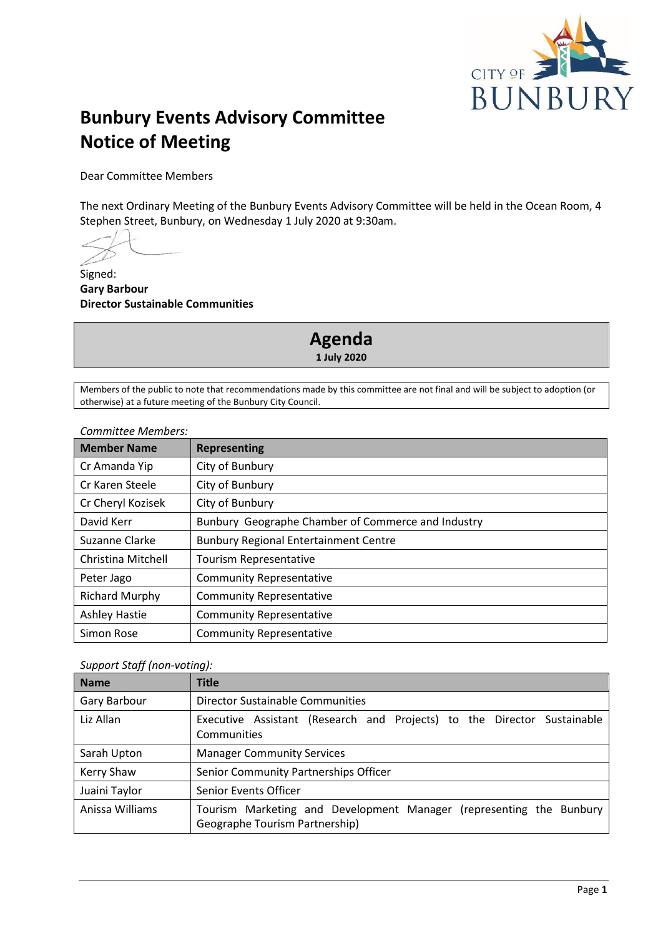

# **Bunbury Events Advisory Committee Notice of Meeting**

Dear Committee Members

The next Ordinary Meeting of the Bunbury Events Advisory Committee will be held in the Ocean Room, 4 Stephen Street, Bunbury, on Wednesday 1 July 2020 at 9:30am.

Signed: **Gary Barbour Director Sustainable Communities**

> **Agenda 1 July 2020**

Members of the public to note that recommendations made by this committee are not final and will be subject to adoption (or otherwise) at a future meeting of the Bunbury City Council.

# *Committee Members:*

| <b>Member Name</b>    | <b>Representing</b>                                |
|-----------------------|----------------------------------------------------|
| Cr Amanda Yip         | City of Bunbury                                    |
| Cr Karen Steele       | City of Bunbury                                    |
| Cr Cheryl Kozisek     | City of Bunbury                                    |
| David Kerr            | Bunbury Geographe Chamber of Commerce and Industry |
| Suzanne Clarke        | <b>Bunbury Regional Entertainment Centre</b>       |
| Christina Mitchell    | <b>Tourism Representative</b>                      |
| Peter Jago            | <b>Community Representative</b>                    |
| <b>Richard Murphy</b> | <b>Community Representative</b>                    |
| <b>Ashley Hastie</b>  | <b>Community Representative</b>                    |
| Simon Rose            | <b>Community Representative</b>                    |

# *Support Staff (non-voting):*

| <b>Name</b>     | <b>Title</b>                                                                                          |
|-----------------|-------------------------------------------------------------------------------------------------------|
| Gary Barbour    | Director Sustainable Communities                                                                      |
| Liz Allan       | Executive Assistant (Research and Projects) to the Director Sustainable<br>Communities                |
| Sarah Upton     | <b>Manager Community Services</b>                                                                     |
| Kerry Shaw      | Senior Community Partnerships Officer                                                                 |
| Juaini Taylor   | Senior Events Officer                                                                                 |
| Anissa Williams | Tourism Marketing and Development Manager (representing the Bunbury<br>Geographe Tourism Partnership) |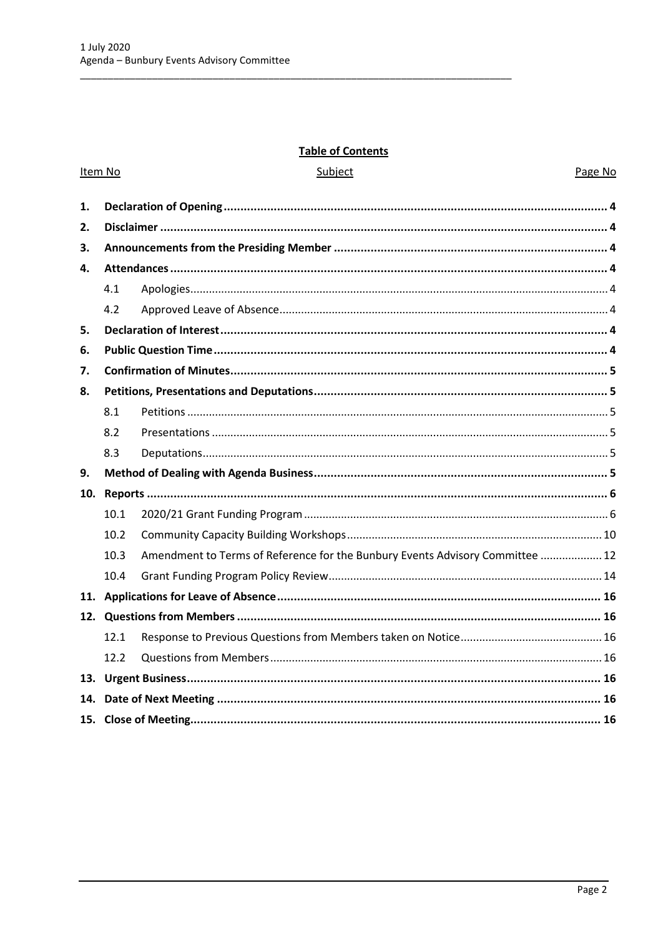# **Table of Contents**

| Item No |      | Subject                                                                       | Page No |
|---------|------|-------------------------------------------------------------------------------|---------|
| 1.      |      |                                                                               |         |
| 2.      |      |                                                                               |         |
| 3.      |      |                                                                               |         |
| 4.      |      |                                                                               |         |
|         | 4.1  |                                                                               |         |
|         | 4.2  |                                                                               |         |
| 5.      |      |                                                                               |         |
| 6.      |      |                                                                               |         |
| 7.      |      |                                                                               |         |
| 8.      |      |                                                                               |         |
|         | 8.1  |                                                                               |         |
|         | 8.2  |                                                                               |         |
|         | 8.3  |                                                                               |         |
| 9.      |      |                                                                               |         |
|         |      |                                                                               |         |
|         | 10.1 |                                                                               |         |
|         | 10.2 |                                                                               |         |
|         | 10.3 | Amendment to Terms of Reference for the Bunbury Events Advisory Committee  12 |         |
|         | 10.4 |                                                                               |         |
|         |      |                                                                               |         |
|         |      |                                                                               |         |
|         | 12.1 |                                                                               |         |
|         | 12.2 |                                                                               |         |
| 13.     |      |                                                                               |         |
| 14.     |      |                                                                               |         |
|         |      |                                                                               |         |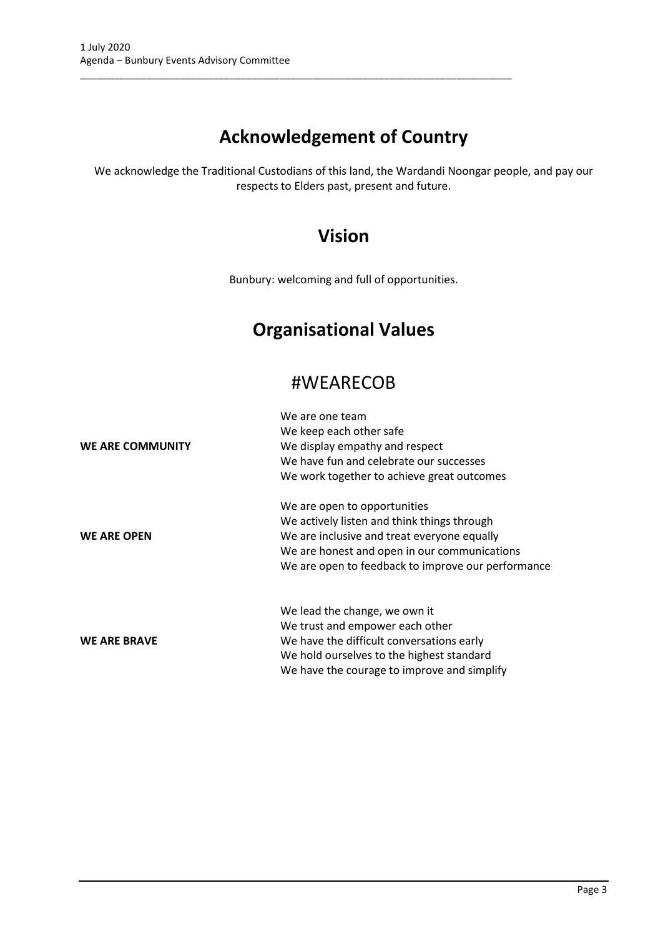# **Acknowledgement of Country**

\_\_\_\_\_\_\_\_\_\_\_\_\_\_\_\_\_\_\_\_\_\_\_\_\_\_\_\_\_\_\_\_\_\_\_\_\_\_\_\_\_\_\_\_\_\_\_\_\_\_\_\_\_\_\_\_\_\_\_\_\_\_\_\_\_\_\_\_\_\_\_\_\_\_\_\_\_\_

We acknowledge the Traditional Custodians of this land, the Wardandi Noongar people, and pay our respects to Elders past, present and future.

# **Vision**

Bunbury: welcoming and full of opportunities.

# **Organisational Values**

# #WEARECOB

|                     | We are one team<br>We keep each other safe         |
|---------------------|----------------------------------------------------|
| WE ARE COMMUNITY    | We display empathy and respect                     |
|                     | We have fun and celebrate our successes            |
|                     | We work together to achieve great outcomes         |
|                     | We are open to opportunities                       |
|                     | We actively listen and think things through        |
| <b>WE ARE OPEN</b>  | We are inclusive and treat everyone equally        |
|                     | We are honest and open in our communications       |
|                     | We are open to feedback to improve our performance |
|                     | We lead the change, we own it                      |
|                     | We trust and empower each other                    |
| <b>WE ARE BRAVE</b> | We have the difficult conversations early          |
|                     | We hold ourselves to the highest standard          |
|                     | We have the courage to improve and simplify        |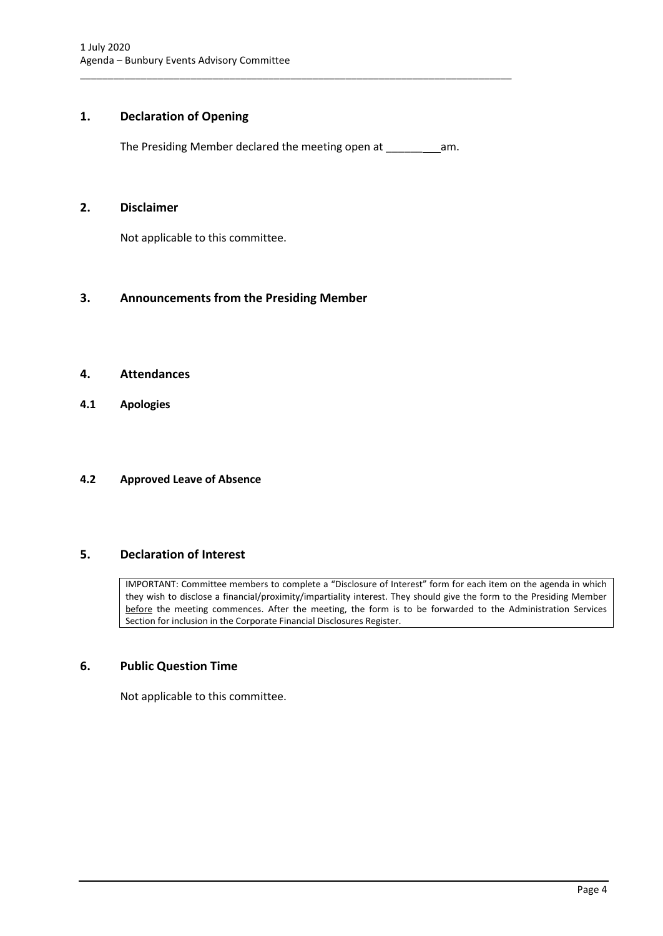# <span id="page-4-0"></span>**1. Declaration of Opening**

The Presiding Member declared the meeting open at \_\_\_\_\_\_ am.

\_\_\_\_\_\_\_\_\_\_\_\_\_\_\_\_\_\_\_\_\_\_\_\_\_\_\_\_\_\_\_\_\_\_\_\_\_\_\_\_\_\_\_\_\_\_\_\_\_\_\_\_\_\_\_\_\_\_\_\_\_\_\_\_\_\_\_\_\_\_\_\_\_\_\_\_\_\_

# <span id="page-4-1"></span>**2. Disclaimer**

Not applicable to this committee.

# <span id="page-4-2"></span>**3. Announcements from the Presiding Member**

# <span id="page-4-3"></span>**4. Attendances**

<span id="page-4-4"></span>**4.1 Apologies**

# <span id="page-4-5"></span>**4.2 Approved Leave of Absence**

# <span id="page-4-6"></span>**5. Declaration of Interest**

IMPORTANT: Committee members to complete a "Disclosure of Interest" form for each item on the agenda in which they wish to disclose a financial/proximity/impartiality interest. They should give the form to the Presiding Member before the meeting commences. After the meeting, the form is to be forwarded to the Administration Services Section for inclusion in the Corporate Financial Disclosures Register.

# <span id="page-4-7"></span>**6. Public Question Time**

Not applicable to this committee.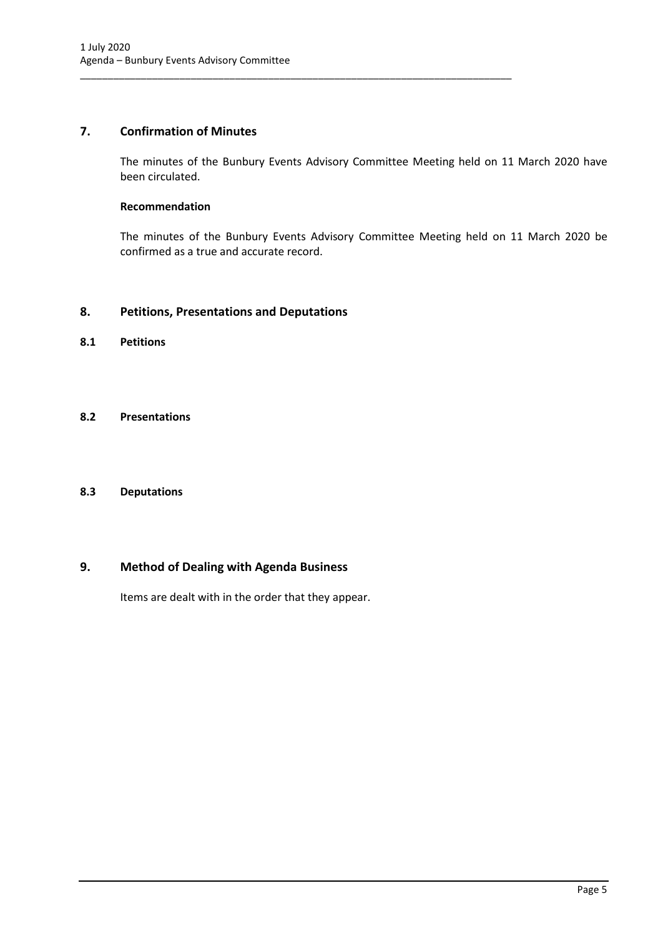# <span id="page-5-0"></span>**7. Confirmation of Minutes**

The minutes of the Bunbury Events Advisory Committee Meeting held on 11 March 2020 have been circulated.

\_\_\_\_\_\_\_\_\_\_\_\_\_\_\_\_\_\_\_\_\_\_\_\_\_\_\_\_\_\_\_\_\_\_\_\_\_\_\_\_\_\_\_\_\_\_\_\_\_\_\_\_\_\_\_\_\_\_\_\_\_\_\_\_\_\_\_\_\_\_\_\_\_\_\_\_\_\_

# **Recommendation**

The minutes of the Bunbury Events Advisory Committee Meeting held on 11 March 2020 be confirmed as a true and accurate record.

# <span id="page-5-1"></span>**8. Petitions, Presentations and Deputations**

<span id="page-5-2"></span>**8.1 Petitions**

# <span id="page-5-3"></span>**8.2 Presentations**

# <span id="page-5-4"></span>**8.3 Deputations**

# <span id="page-5-5"></span>**9. Method of Dealing with Agenda Business**

Items are dealt with in the order that they appear.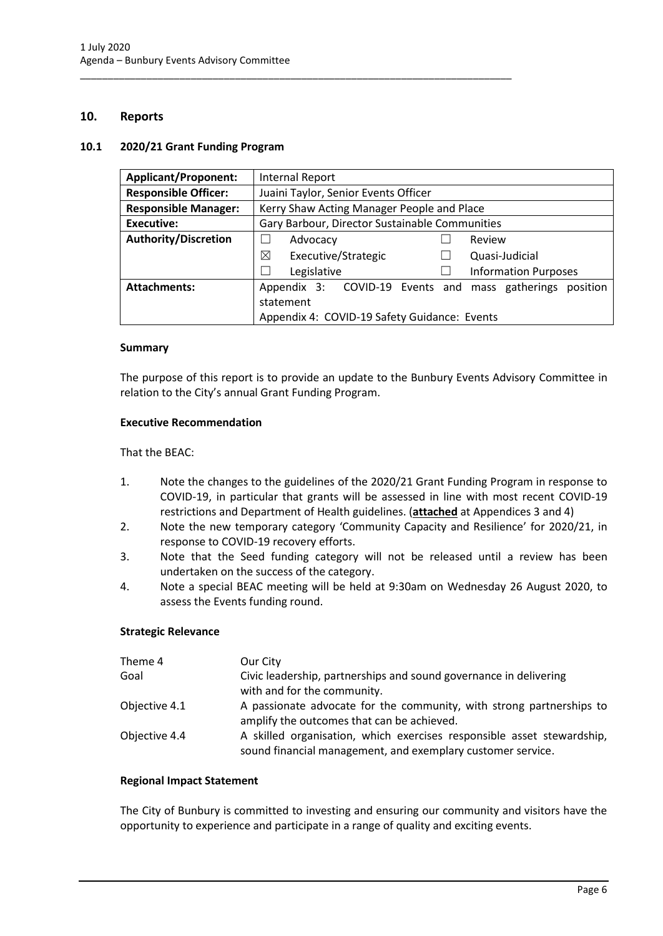# <span id="page-6-0"></span>**10. Reports**

# <span id="page-6-1"></span>**10.1 2020/21 Grant Funding Program**

| <b>Applicant/Proponent:</b> | Internal Report                                                |  |  |
|-----------------------------|----------------------------------------------------------------|--|--|
| <b>Responsible Officer:</b> | Juaini Taylor, Senior Events Officer                           |  |  |
| <b>Responsible Manager:</b> | Kerry Shaw Acting Manager People and Place                     |  |  |
| Executive:                  | Gary Barbour, Director Sustainable Communities                 |  |  |
| <b>Authority/Discretion</b> | Advocacy<br>Review                                             |  |  |
|                             | ⊠<br>Executive/Strategic<br>Quasi-Judicial                     |  |  |
|                             | <b>Information Purposes</b><br>Legislative                     |  |  |
| <b>Attachments:</b>         | Appendix 3: COVID-19 Events and<br>mass gatherings<br>position |  |  |
|                             | statement                                                      |  |  |
|                             | Appendix 4: COVID-19 Safety Guidance: Events                   |  |  |

\_\_\_\_\_\_\_\_\_\_\_\_\_\_\_\_\_\_\_\_\_\_\_\_\_\_\_\_\_\_\_\_\_\_\_\_\_\_\_\_\_\_\_\_\_\_\_\_\_\_\_\_\_\_\_\_\_\_\_\_\_\_\_\_\_\_\_\_\_\_\_\_\_\_\_\_\_\_

#### **Summary**

The purpose of this report is to provide an update to the Bunbury Events Advisory Committee in relation to the City's annual Grant Funding Program.

#### **Executive Recommendation**

#### That the BEAC:

- 1. Note the changes to the guidelines of the 2020/21 Grant Funding Program in response to COVID-19, in particular that grants will be assessed in line with most recent COVID-19 restrictions and Department of Health guidelines. (**attached** at Appendices 3 and 4)
- 2. Note the new temporary category 'Community Capacity and Resilience' for 2020/21, in response to COVID-19 recovery efforts.
- 3. Note that the Seed funding category will not be released until a review has been undertaken on the success of the category.
- 4. Note a special BEAC meeting will be held at 9:30am on Wednesday 26 August 2020, to assess the Events funding round.

# **Strategic Relevance**

| Theme 4       | Our City                                                                                                                              |
|---------------|---------------------------------------------------------------------------------------------------------------------------------------|
| Goal          | Civic leadership, partnerships and sound governance in delivering                                                                     |
|               | with and for the community.                                                                                                           |
| Objective 4.1 | A passionate advocate for the community, with strong partnerships to                                                                  |
|               | amplify the outcomes that can be achieved.                                                                                            |
| Objective 4.4 | A skilled organisation, which exercises responsible asset stewardship,<br>sound financial management, and exemplary customer service. |

#### **Regional Impact Statement**

The City of Bunbury is committed to investing and ensuring our community and visitors have the opportunity to experience and participate in a range of quality and exciting events.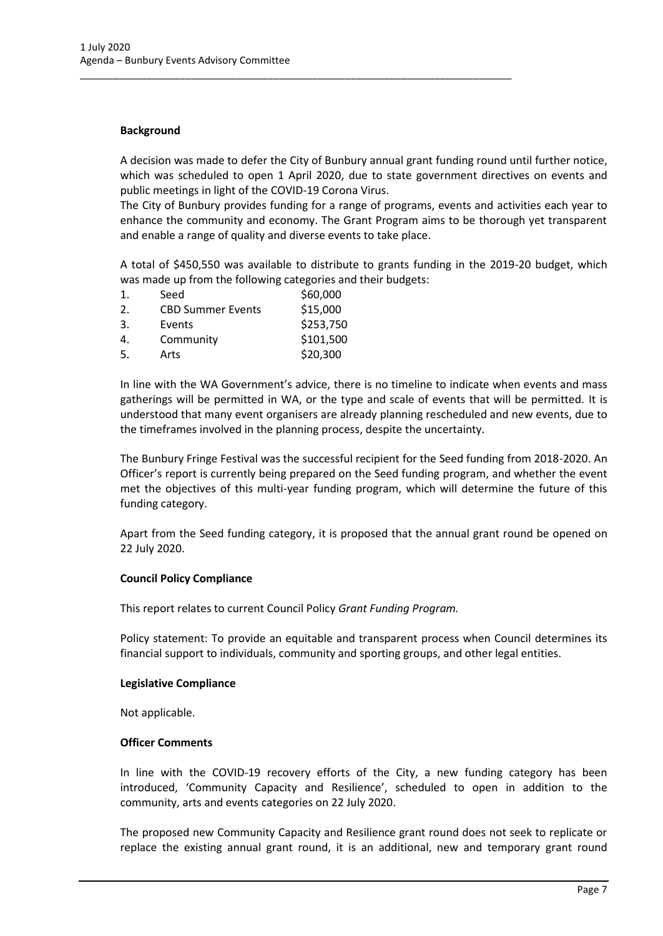### **Background**

A decision was made to defer the City of Bunbury annual grant funding round until further notice, which was scheduled to open 1 April 2020, due to state government directives on events and public meetings in light of the COVID-19 Corona Virus.

\_\_\_\_\_\_\_\_\_\_\_\_\_\_\_\_\_\_\_\_\_\_\_\_\_\_\_\_\_\_\_\_\_\_\_\_\_\_\_\_\_\_\_\_\_\_\_\_\_\_\_\_\_\_\_\_\_\_\_\_\_\_\_\_\_\_\_\_\_\_\_\_\_\_\_\_\_\_

The City of Bunbury provides funding for a range of programs, events and activities each year to enhance the community and economy. The Grant Program aims to be thorough yet transparent and enable a range of quality and diverse events to take place.

A total of \$450,550 was available to distribute to grants funding in the 2019-20 budget, which was made up from the following categories and their budgets:

| $\mathbf{1}$ . | Seed                     | \$60,000  |
|----------------|--------------------------|-----------|
| 2.             | <b>CBD Summer Events</b> | \$15,000  |
| 3.             | Events                   | \$253,750 |
| 4.             | Community                | \$101,500 |
| 5.             | Arts                     | \$20,300  |

In line with the WA Government's advice, there is no timeline to indicate when events and mass gatherings will be permitted in WA, or the type and scale of events that will be permitted. It is understood that many event organisers are already planning rescheduled and new events, due to the timeframes involved in the planning process, despite the uncertainty.

The Bunbury Fringe Festival was the successful recipient for the Seed funding from 2018-2020. An Officer's report is currently being prepared on the Seed funding program, and whether the event met the objectives of this multi-year funding program, which will determine the future of this funding category.

Apart from the Seed funding category, it is proposed that the annual grant round be opened on 22 July 2020.

# **Council Policy Compliance**

This report relates to current Council Policy *Grant Funding Program.*

Policy statement: To provide an equitable and transparent process when Council determines its financial support to individuals, community and sporting groups, and other legal entities.

#### **Legislative Compliance**

Not applicable.

#### **Officer Comments**

In line with the COVID-19 recovery efforts of the City, a new funding category has been introduced, 'Community Capacity and Resilience', scheduled to open in addition to the community, arts and events categories on 22 July 2020.

The proposed new Community Capacity and Resilience grant round does not seek to replicate or replace the existing annual grant round, it is an additional, new and temporary grant round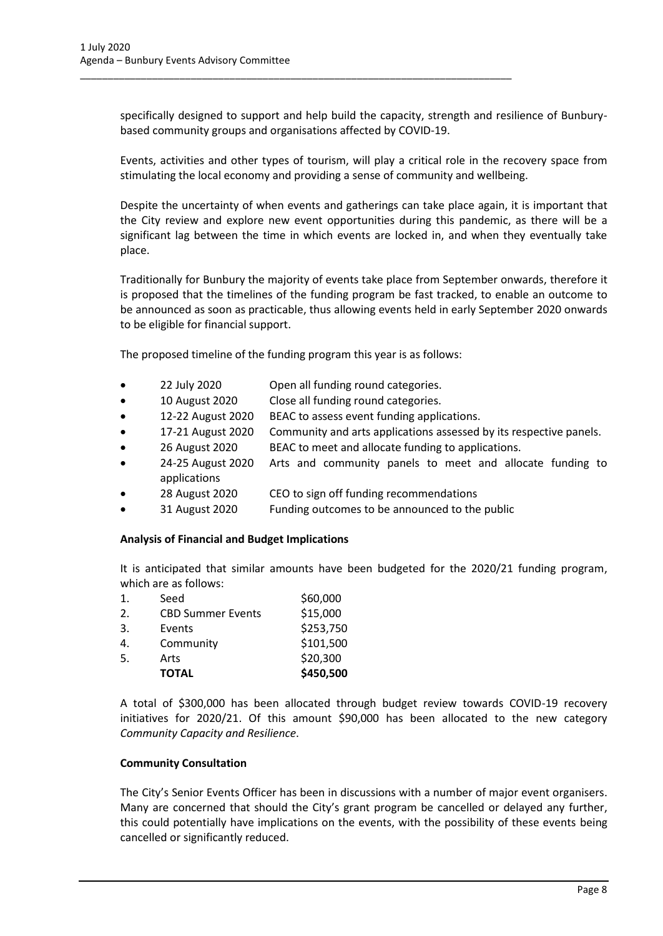specifically designed to support and help build the capacity, strength and resilience of Bunburybased community groups and organisations affected by COVID-19.

Events, activities and other types of tourism, will play a critical role in the recovery space from stimulating the local economy and providing a sense of community and wellbeing.

Despite the uncertainty of when events and gatherings can take place again, it is important that the City review and explore new event opportunities during this pandemic, as there will be a significant lag between the time in which events are locked in, and when they eventually take place.

Traditionally for Bunbury the majority of events take place from September onwards, therefore it is proposed that the timelines of the funding program be fast tracked, to enable an outcome to be announced as soon as practicable, thus allowing events held in early September 2020 onwards to be eligible for financial support.

The proposed timeline of the funding program this year is as follows:

\_\_\_\_\_\_\_\_\_\_\_\_\_\_\_\_\_\_\_\_\_\_\_\_\_\_\_\_\_\_\_\_\_\_\_\_\_\_\_\_\_\_\_\_\_\_\_\_\_\_\_\_\_\_\_\_\_\_\_\_\_\_\_\_\_\_\_\_\_\_\_\_\_\_\_\_\_\_

- 22 July 2020 Open all funding round categories.
- 10 August 2020 Close all funding round categories.
- 12-22 August 2020 BEAC to assess event funding applications.
- 17-21 August 2020 Community and arts applications assessed by its respective panels.
- 26 August 2020 BEAC to meet and allocate funding to applications.
- 24-25 August 2020 Arts and community panels to meet and allocate funding to applications
- 28 August 2020 CEO to sign off funding recommendations
- 31 August 2020 Funding outcomes to be announced to the public

# **Analysis of Financial and Budget Implications**

It is anticipated that similar amounts have been budgeted for the 2020/21 funding program, which are as follows:

|                | <b>TOTAL</b>             | \$450,500 |
|----------------|--------------------------|-----------|
| 5.             | Arts                     | \$20,300  |
| 4.             | Community                | \$101,500 |
| 3.             | Events                   | \$253,750 |
| 2.             | <b>CBD Summer Events</b> | \$15,000  |
| $\mathbf{1}$ . | Seed                     | \$60,000  |

A total of \$300,000 has been allocated through budget review towards COVID-19 recovery initiatives for 2020/21. Of this amount \$90,000 has been allocated to the new category *Community Capacity and Resilience*.

# **Community Consultation**

The City's Senior Events Officer has been in discussions with a number of major event organisers. Many are concerned that should the City's grant program be cancelled or delayed any further, this could potentially have implications on the events, with the possibility of these events being cancelled or significantly reduced.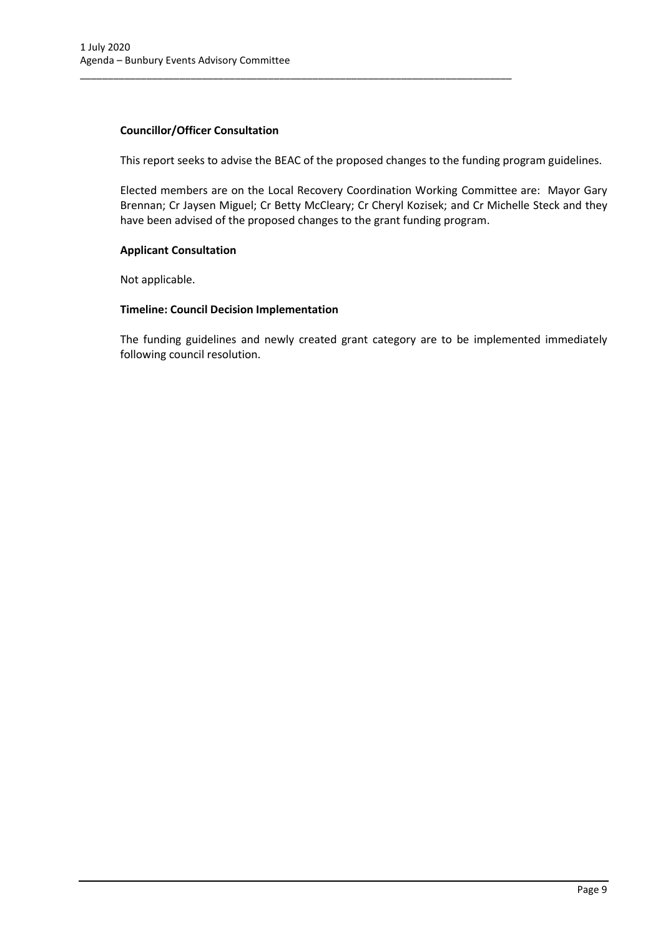# **Councillor/Officer Consultation**

This report seeks to advise the BEAC of the proposed changes to the funding program guidelines.

\_\_\_\_\_\_\_\_\_\_\_\_\_\_\_\_\_\_\_\_\_\_\_\_\_\_\_\_\_\_\_\_\_\_\_\_\_\_\_\_\_\_\_\_\_\_\_\_\_\_\_\_\_\_\_\_\_\_\_\_\_\_\_\_\_\_\_\_\_\_\_\_\_\_\_\_\_\_

Elected members are on the Local Recovery Coordination Working Committee are: Mayor Gary Brennan; Cr Jaysen Miguel; Cr Betty McCleary; Cr Cheryl Kozisek; and Cr Michelle Steck and they have been advised of the proposed changes to the grant funding program.

# **Applicant Consultation**

Not applicable.

# **Timeline: Council Decision Implementation**

The funding guidelines and newly created grant category are to be implemented immediately following council resolution.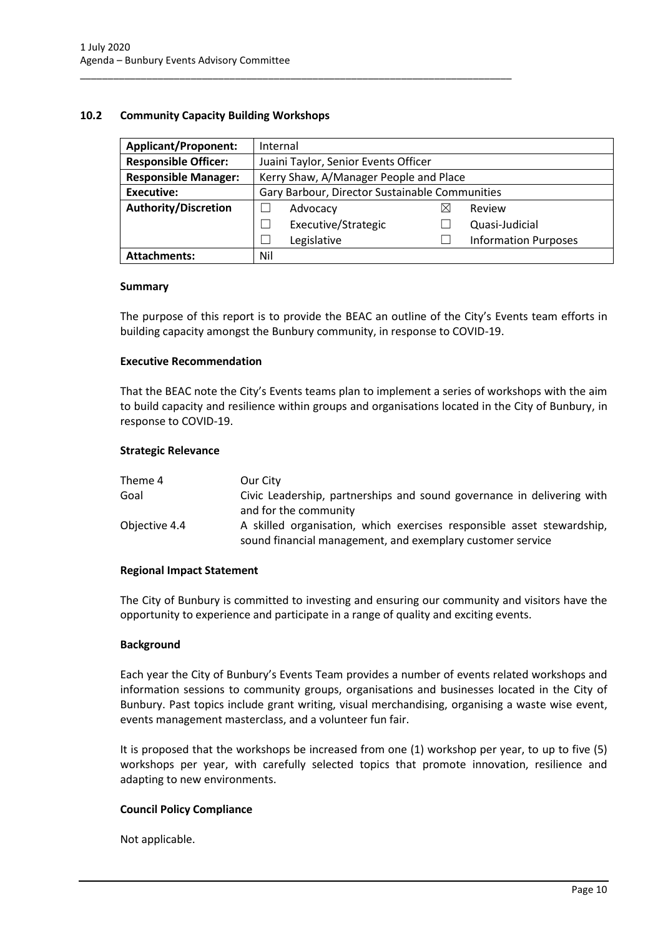# <span id="page-10-0"></span>**10.2 Community Capacity Building Workshops**

| <b>Applicant/Proponent:</b> | Internal                                       |   |                             |
|-----------------------------|------------------------------------------------|---|-----------------------------|
| <b>Responsible Officer:</b> | Juaini Taylor, Senior Events Officer           |   |                             |
| <b>Responsible Manager:</b> | Kerry Shaw, A/Manager People and Place         |   |                             |
| Executive:                  | Gary Barbour, Director Sustainable Communities |   |                             |
| <b>Authority/Discretion</b> | Advocacy                                       | ⋉ | Review                      |
|                             | Executive/Strategic                            |   | Quasi-Judicial              |
|                             | Legislative                                    |   | <b>Information Purposes</b> |
| <b>Attachments:</b>         | Nil                                            |   |                             |

\_\_\_\_\_\_\_\_\_\_\_\_\_\_\_\_\_\_\_\_\_\_\_\_\_\_\_\_\_\_\_\_\_\_\_\_\_\_\_\_\_\_\_\_\_\_\_\_\_\_\_\_\_\_\_\_\_\_\_\_\_\_\_\_\_\_\_\_\_\_\_\_\_\_\_\_\_\_

#### **Summary**

The purpose of this report is to provide the BEAC an outline of the City's Events team efforts in building capacity amongst the Bunbury community, in response to COVID-19.

# **Executive Recommendation**

That the BEAC note the City's Events teams plan to implement a series of workshops with the aim to build capacity and resilience within groups and organisations located in the City of Bunbury, in response to COVID-19.

#### **Strategic Relevance**

| Theme 4       | Our City                                                                                                                             |
|---------------|--------------------------------------------------------------------------------------------------------------------------------------|
| Goal          | Civic Leadership, partnerships and sound governance in delivering with<br>and for the community                                      |
| Objective 4.4 | A skilled organisation, which exercises responsible asset stewardship,<br>sound financial management, and exemplary customer service |

# **Regional Impact Statement**

The City of Bunbury is committed to investing and ensuring our community and visitors have the opportunity to experience and participate in a range of quality and exciting events.

# **Background**

Each year the City of Bunbury's Events Team provides a number of events related workshops and information sessions to community groups, organisations and businesses located in the City of Bunbury. Past topics include grant writing, visual merchandising, organising a waste wise event, events management masterclass, and a volunteer fun fair.

It is proposed that the workshops be increased from one (1) workshop per year, to up to five (5) workshops per year, with carefully selected topics that promote innovation, resilience and adapting to new environments.

# **Council Policy Compliance**

Not applicable.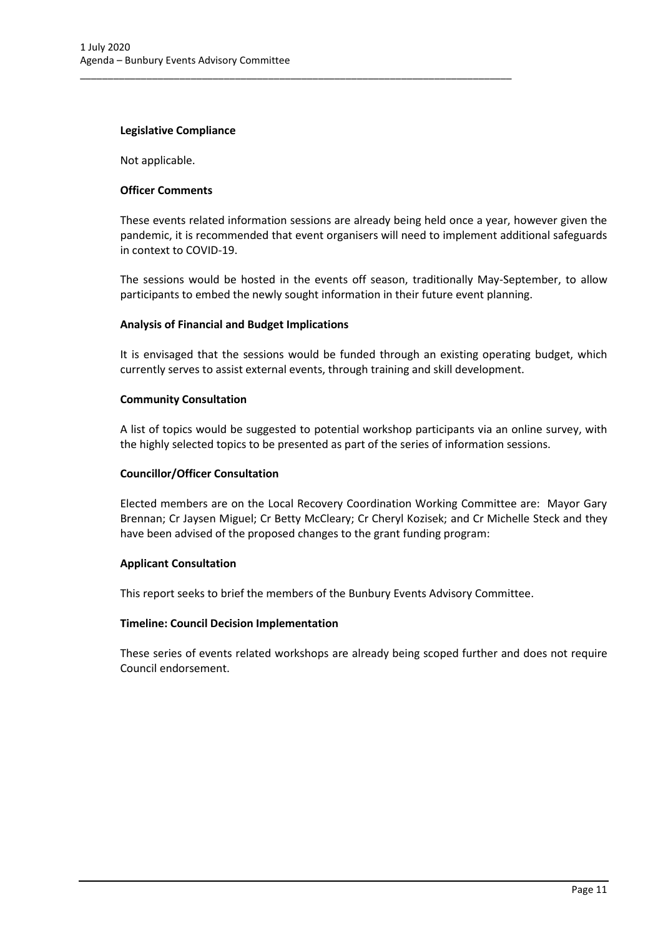### **Legislative Compliance**

Not applicable.

### **Officer Comments**

These events related information sessions are already being held once a year, however given the pandemic, it is recommended that event organisers will need to implement additional safeguards in context to COVID-19.

\_\_\_\_\_\_\_\_\_\_\_\_\_\_\_\_\_\_\_\_\_\_\_\_\_\_\_\_\_\_\_\_\_\_\_\_\_\_\_\_\_\_\_\_\_\_\_\_\_\_\_\_\_\_\_\_\_\_\_\_\_\_\_\_\_\_\_\_\_\_\_\_\_\_\_\_\_\_

The sessions would be hosted in the events off season, traditionally May-September, to allow participants to embed the newly sought information in their future event planning.

#### **Analysis of Financial and Budget Implications**

It is envisaged that the sessions would be funded through an existing operating budget, which currently serves to assist external events, through training and skill development.

#### **Community Consultation**

A list of topics would be suggested to potential workshop participants via an online survey, with the highly selected topics to be presented as part of the series of information sessions.

### **Councillor/Officer Consultation**

Elected members are on the Local Recovery Coordination Working Committee are: Mayor Gary Brennan; Cr Jaysen Miguel; Cr Betty McCleary; Cr Cheryl Kozisek; and Cr Michelle Steck and they have been advised of the proposed changes to the grant funding program:

# **Applicant Consultation**

This report seeks to brief the members of the Bunbury Events Advisory Committee.

#### **Timeline: Council Decision Implementation**

These series of events related workshops are already being scoped further and does not require Council endorsement.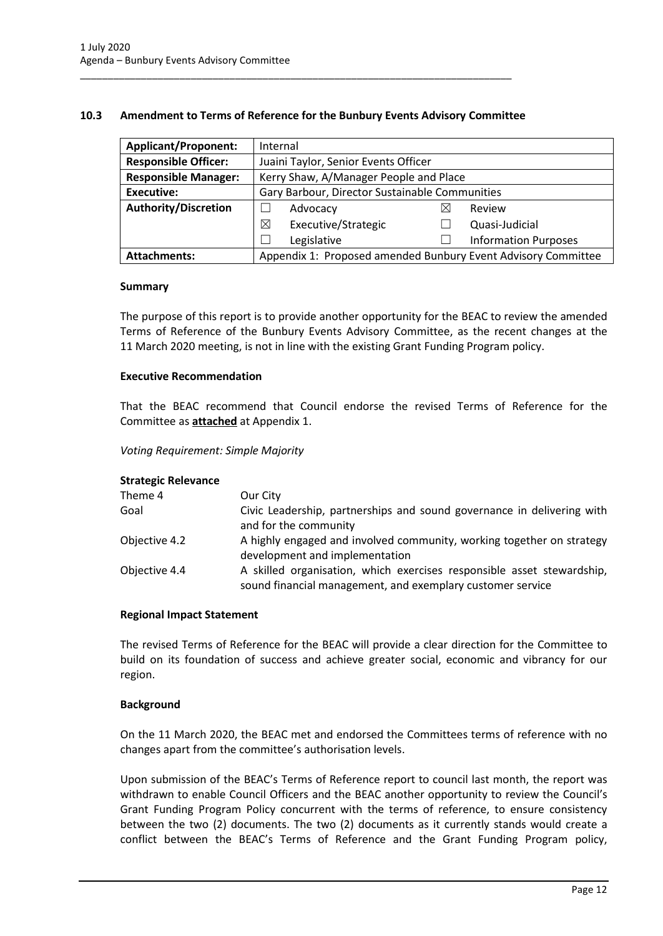# <span id="page-12-0"></span>**10.3 Amendment to Terms of Reference for the Bunbury Events Advisory Committee**

\_\_\_\_\_\_\_\_\_\_\_\_\_\_\_\_\_\_\_\_\_\_\_\_\_\_\_\_\_\_\_\_\_\_\_\_\_\_\_\_\_\_\_\_\_\_\_\_\_\_\_\_\_\_\_\_\_\_\_\_\_\_\_\_\_\_\_\_\_\_\_\_\_\_\_\_\_\_

| <b>Applicant/Proponent:</b> | Internal                                                      |   |                             |
|-----------------------------|---------------------------------------------------------------|---|-----------------------------|
| <b>Responsible Officer:</b> | Juaini Taylor, Senior Events Officer                          |   |                             |
| <b>Responsible Manager:</b> | Kerry Shaw, A/Manager People and Place                        |   |                             |
| <b>Executive:</b>           | Gary Barbour, Director Sustainable Communities                |   |                             |
| <b>Authority/Discretion</b> | Advocacy                                                      | ⋉ | Review                      |
|                             | Executive/Strategic<br>⊠                                      |   | Quasi-Judicial              |
|                             | Legislative                                                   |   | <b>Information Purposes</b> |
| <b>Attachments:</b>         | Appendix 1: Proposed amended Bunbury Event Advisory Committee |   |                             |

#### **Summary**

The purpose of this report is to provide another opportunity for the BEAC to review the amended Terms of Reference of the Bunbury Events Advisory Committee, as the recent changes at the 11 March 2020 meeting, is not in line with the existing Grant Funding Program policy.

# **Executive Recommendation**

That the BEAC recommend that Council endorse the revised Terms of Reference for the Committee as **attached** at Appendix 1.

# *Voting Requirement: Simple Majority*

#### **Strategic Relevance**

| Our City                                                                                                                             |
|--------------------------------------------------------------------------------------------------------------------------------------|
| Civic Leadership, partnerships and sound governance in delivering with<br>and for the community                                      |
| A highly engaged and involved community, working together on strategy<br>development and implementation                              |
| A skilled organisation, which exercises responsible asset stewardship,<br>sound financial management, and exemplary customer service |
|                                                                                                                                      |

#### **Regional Impact Statement**

The revised Terms of Reference for the BEAC will provide a clear direction for the Committee to build on its foundation of success and achieve greater social, economic and vibrancy for our region.

### **Background**

On the 11 March 2020, the BEAC met and endorsed the Committees terms of reference with no changes apart from the committee's authorisation levels.

Upon submission of the BEAC's Terms of Reference report to council last month, the report was withdrawn to enable Council Officers and the BEAC another opportunity to review the Council's Grant Funding Program Policy concurrent with the terms of reference, to ensure consistency between the two (2) documents. The two (2) documents as it currently stands would create a conflict between the BEAC's Terms of Reference and the Grant Funding Program policy,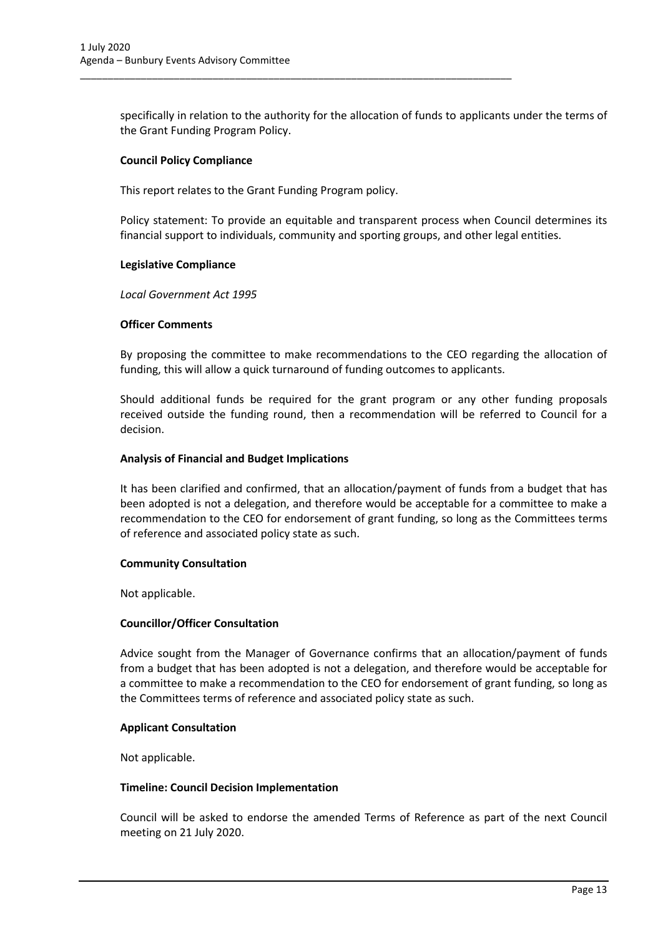specifically in relation to the authority for the allocation of funds to applicants under the terms of the Grant Funding Program Policy.

# **Council Policy Compliance**

This report relates to the Grant Funding Program policy.

\_\_\_\_\_\_\_\_\_\_\_\_\_\_\_\_\_\_\_\_\_\_\_\_\_\_\_\_\_\_\_\_\_\_\_\_\_\_\_\_\_\_\_\_\_\_\_\_\_\_\_\_\_\_\_\_\_\_\_\_\_\_\_\_\_\_\_\_\_\_\_\_\_\_\_\_\_\_

Policy statement: To provide an equitable and transparent process when Council determines its financial support to individuals, community and sporting groups, and other legal entities.

# **Legislative Compliance**

*Local Government Act 1995*

# **Officer Comments**

By proposing the committee to make recommendations to the CEO regarding the allocation of funding, this will allow a quick turnaround of funding outcomes to applicants.

Should additional funds be required for the grant program or any other funding proposals received outside the funding round, then a recommendation will be referred to Council for a decision.

# **Analysis of Financial and Budget Implications**

It has been clarified and confirmed, that an allocation/payment of funds from a budget that has been adopted is not a delegation, and therefore would be acceptable for a committee to make a recommendation to the CEO for endorsement of grant funding, so long as the Committees terms of reference and associated policy state as such.

# **Community Consultation**

Not applicable.

# **Councillor/Officer Consultation**

Advice sought from the Manager of Governance confirms that an allocation/payment of funds from a budget that has been adopted is not a delegation, and therefore would be acceptable for a committee to make a recommendation to the CEO for endorsement of grant funding, so long as the Committees terms of reference and associated policy state as such.

# **Applicant Consultation**

Not applicable.

# **Timeline: Council Decision Implementation**

Council will be asked to endorse the amended Terms of Reference as part of the next Council meeting on 21 July 2020.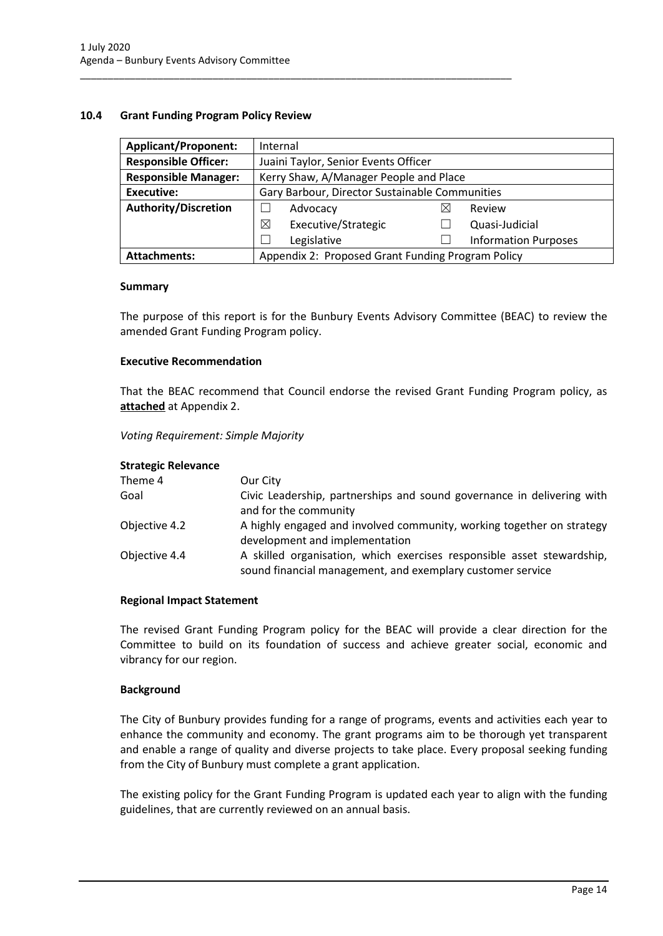# <span id="page-14-0"></span>**10.4 Grant Funding Program Policy Review**

| <b>Applicant/Proponent:</b> | Internal                                          |   |                             |
|-----------------------------|---------------------------------------------------|---|-----------------------------|
| <b>Responsible Officer:</b> | Juaini Taylor, Senior Events Officer              |   |                             |
| <b>Responsible Manager:</b> | Kerry Shaw, A/Manager People and Place            |   |                             |
| <b>Executive:</b>           | Gary Barbour, Director Sustainable Communities    |   |                             |
| <b>Authority/Discretion</b> | Advocacy                                          | ⋉ | Review                      |
|                             | Executive/Strategic<br>⊠                          |   | Quasi-Judicial              |
|                             | Legislative                                       |   | <b>Information Purposes</b> |
| <b>Attachments:</b>         | Appendix 2: Proposed Grant Funding Program Policy |   |                             |

\_\_\_\_\_\_\_\_\_\_\_\_\_\_\_\_\_\_\_\_\_\_\_\_\_\_\_\_\_\_\_\_\_\_\_\_\_\_\_\_\_\_\_\_\_\_\_\_\_\_\_\_\_\_\_\_\_\_\_\_\_\_\_\_\_\_\_\_\_\_\_\_\_\_\_\_\_\_

#### **Summary**

The purpose of this report is for the Bunbury Events Advisory Committee (BEAC) to review the amended Grant Funding Program policy.

# **Executive Recommendation**

That the BEAC recommend that Council endorse the revised Grant Funding Program policy, as **attached** at Appendix 2.

#### *Voting Requirement: Simple Majority*

#### **Strategic Relevance**

| Theme 4       | Our City                                                                                                                             |
|---------------|--------------------------------------------------------------------------------------------------------------------------------------|
| Goal          | Civic Leadership, partnerships and sound governance in delivering with<br>and for the community                                      |
| Objective 4.2 | A highly engaged and involved community, working together on strategy<br>development and implementation                              |
| Objective 4.4 | A skilled organisation, which exercises responsible asset stewardship,<br>sound financial management, and exemplary customer service |

#### **Regional Impact Statement**

The revised Grant Funding Program policy for the BEAC will provide a clear direction for the Committee to build on its foundation of success and achieve greater social, economic and vibrancy for our region.

# **Background**

The City of Bunbury provides funding for a range of programs, events and activities each year to enhance the community and economy. The grant programs aim to be thorough yet transparent and enable a range of quality and diverse projects to take place. Every proposal seeking funding from the City of Bunbury must complete a grant application.

The existing policy for the Grant Funding Program is updated each year to align with the funding guidelines, that are currently reviewed on an annual basis.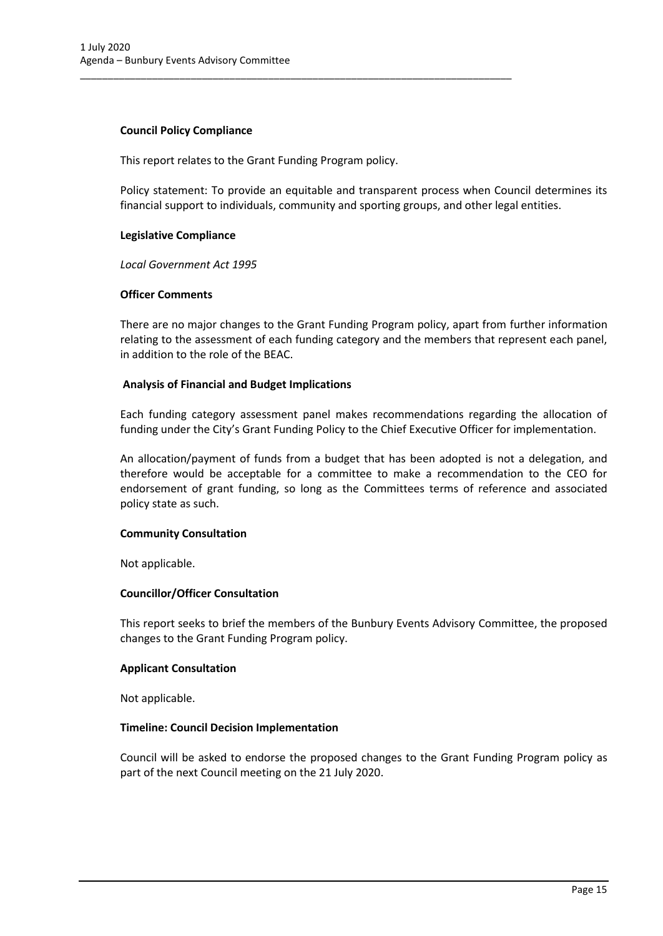# **Council Policy Compliance**

This report relates to the Grant Funding Program policy.

\_\_\_\_\_\_\_\_\_\_\_\_\_\_\_\_\_\_\_\_\_\_\_\_\_\_\_\_\_\_\_\_\_\_\_\_\_\_\_\_\_\_\_\_\_\_\_\_\_\_\_\_\_\_\_\_\_\_\_\_\_\_\_\_\_\_\_\_\_\_\_\_\_\_\_\_\_\_

Policy statement: To provide an equitable and transparent process when Council determines its financial support to individuals, community and sporting groups, and other legal entities.

# **Legislative Compliance**

*Local Government Act 1995*

#### **Officer Comments**

There are no major changes to the Grant Funding Program policy, apart from further information relating to the assessment of each funding category and the members that represent each panel, in addition to the role of the BEAC.

# **Analysis of Financial and Budget Implications**

Each funding category assessment panel makes recommendations regarding the allocation of funding under the City's Grant Funding Policy to the Chief Executive Officer for implementation.

An allocation/payment of funds from a budget that has been adopted is not a delegation, and therefore would be acceptable for a committee to make a recommendation to the CEO for endorsement of grant funding, so long as the Committees terms of reference and associated policy state as such.

# **Community Consultation**

Not applicable.

# **Councillor/Officer Consultation**

This report seeks to brief the members of the Bunbury Events Advisory Committee, the proposed changes to the Grant Funding Program policy.

#### **Applicant Consultation**

Not applicable.

# **Timeline: Council Decision Implementation**

Council will be asked to endorse the proposed changes to the Grant Funding Program policy as part of the next Council meeting on the 21 July 2020.